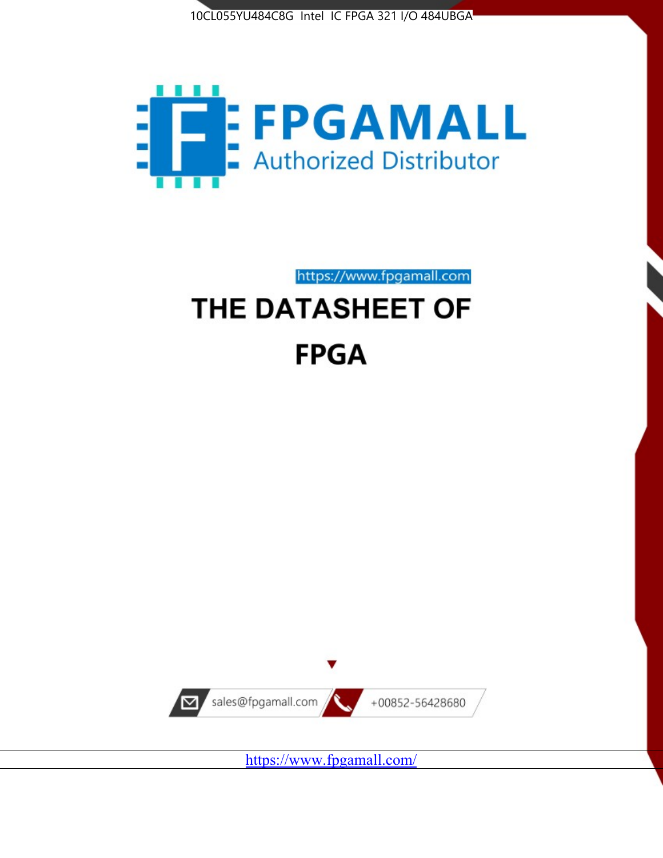



# https://www.fpgamall.com THE DATASHEET OF **FPGA**



https://www.fpgamall.com/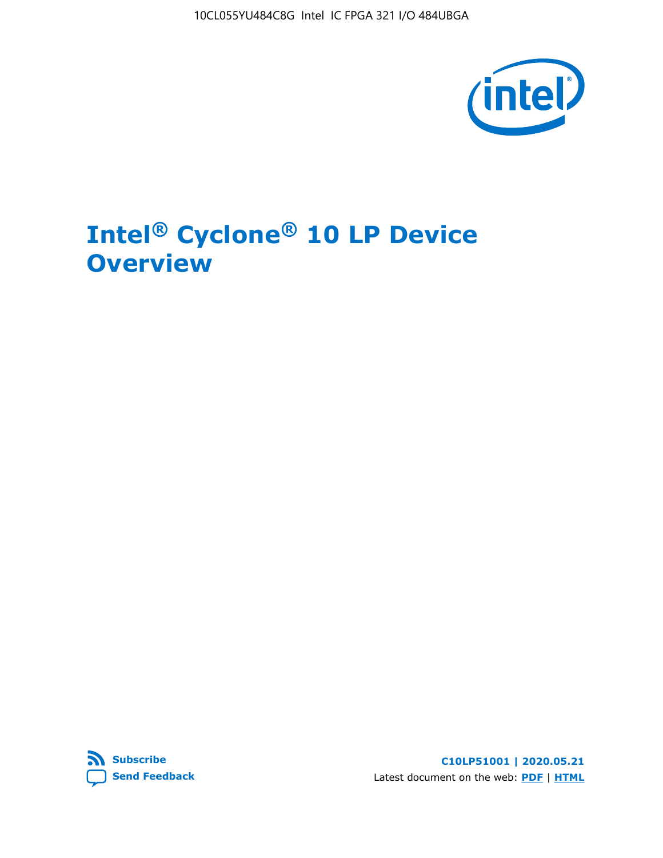10CL055YU484C8G Intel IC FPGA 321 I/O 484UBGA



# **Intel® Cyclone® 10 LP Device Overview**



**C10LP51001 | 2020.05.21** Latest document on the web: **[PDF](https://www.intel.com/content/dam/www/programmable/us/en/pdfs/literature/hb/cyclone-10/c10lp-51001.pdf)** | **[HTML](https://www.intel.com/content/www/us/en/programmable/documentation/hci1490246873896.html)**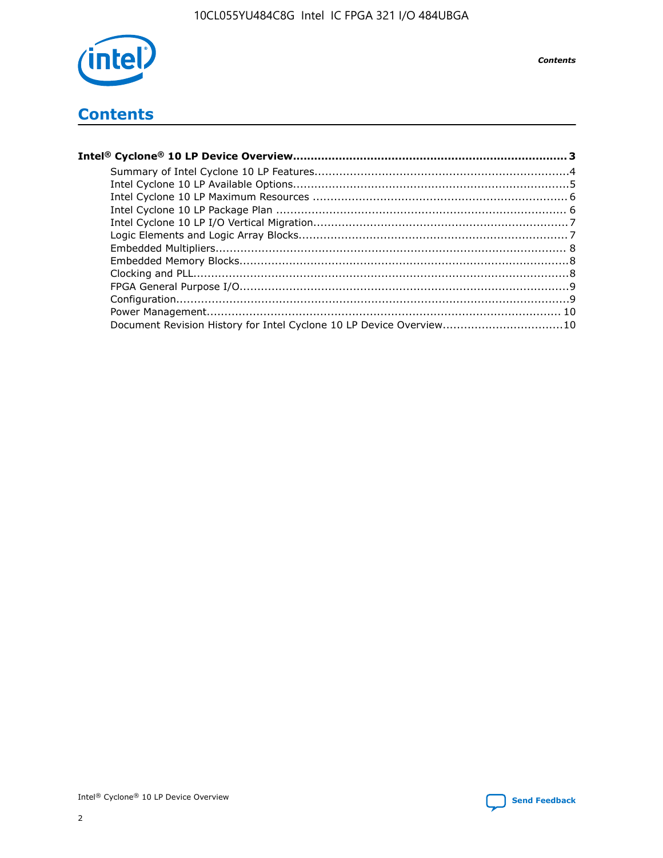

**Contents** 

## **Contents**

| Document Revision History for Intel Cyclone 10 LP Device Overview10 |  |
|---------------------------------------------------------------------|--|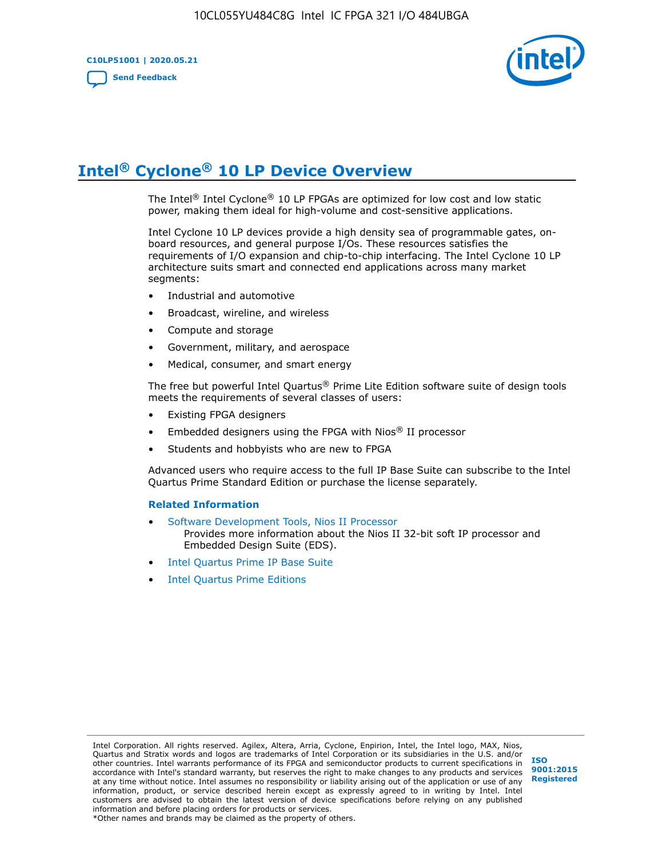**C10LP51001 | 2020.05.21 [Send Feedback](mailto:FPGAtechdocfeedback@intel.com?subject=Feedback%20on%20Intel%20Cyclone%2010%20LP%20Device%20Overview%20(C10LP51001%202020.05.21)&body=We%20appreciate%20your%20feedback.%20In%20your%20comments,%20also%20specify%20the%20page%20number%20or%20paragraph.%20Thank%20you.)**



# **Intel® Cyclone® 10 LP Device Overview**

The Intel® Intel Cyclone® 10 LP FPGAs are optimized for low cost and low static power, making them ideal for high-volume and cost-sensitive applications.

Intel Cyclone 10 LP devices provide a high density sea of programmable gates, onboard resources, and general purpose I/Os. These resources satisfies the requirements of I/O expansion and chip-to-chip interfacing. The Intel Cyclone 10 LP architecture suits smart and connected end applications across many market segments:

- Industrial and automotive
- Broadcast, wireline, and wireless
- Compute and storage
- Government, military, and aerospace
- Medical, consumer, and smart energy

The free but powerful Intel Quartus® Prime Lite Edition software suite of design tools meets the requirements of several classes of users:

- Existing FPGA designers
- Embedded designers using the FPGA with Nios® II processor
- Students and hobbyists who are new to FPGA

Advanced users who require access to the full IP Base Suite can subscribe to the Intel Quartus Prime Standard Edition or purchase the license separately.

#### **Related Information**

- [Software Development Tools, Nios II Processor](https://www.altera.com/products/processors/design-tools.html) Provides more information about the Nios II 32-bit soft IP processor and Embedded Design Suite (EDS).
- [Intel Quartus Prime IP Base Suite](https://www.altera.com/products/intellectual-property/design/ip-base-suite.html)
- **[Intel Quartus Prime Editions](https://www.altera.com/products/design-software/fpga-design/quartus-prime/download.html)**

Intel Corporation. All rights reserved. Agilex, Altera, Arria, Cyclone, Enpirion, Intel, the Intel logo, MAX, Nios, Quartus and Stratix words and logos are trademarks of Intel Corporation or its subsidiaries in the U.S. and/or other countries. Intel warrants performance of its FPGA and semiconductor products to current specifications in accordance with Intel's standard warranty, but reserves the right to make changes to any products and services at any time without notice. Intel assumes no responsibility or liability arising out of the application or use of any information, product, or service described herein except as expressly agreed to in writing by Intel. Intel customers are advised to obtain the latest version of device specifications before relying on any published information and before placing orders for products or services.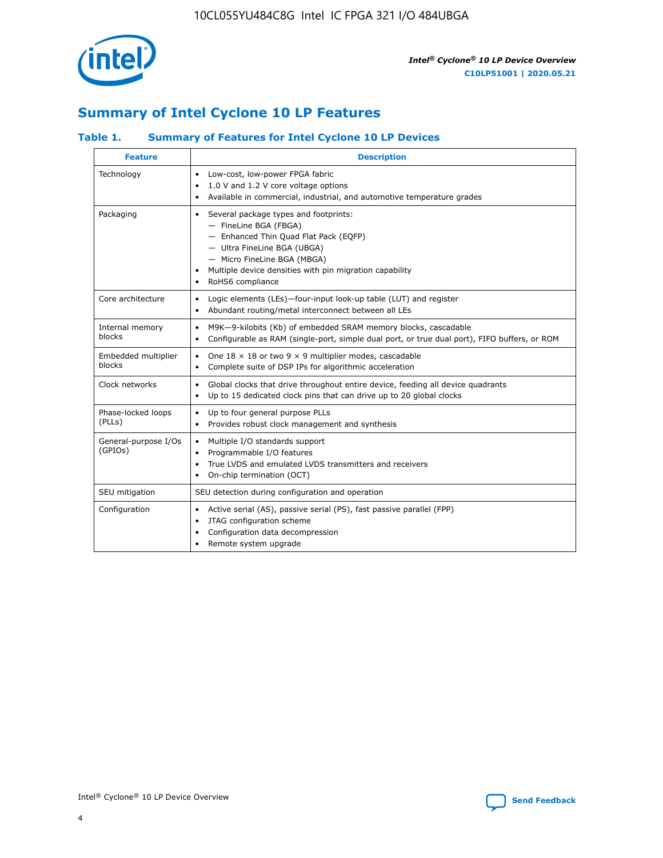

## **Summary of Intel Cyclone 10 LP Features**

### **Table 1. Summary of Features for Intel Cyclone 10 LP Devices**

| <b>Feature</b>                  | <b>Description</b>                                                                                                                                                                                                                                        |
|---------------------------------|-----------------------------------------------------------------------------------------------------------------------------------------------------------------------------------------------------------------------------------------------------------|
| Technology                      | Low-cost, low-power FPGA fabric<br>$\bullet$<br>1.0 V and 1.2 V core voltage options<br>Available in commercial, industrial, and automotive temperature grades                                                                                            |
| Packaging                       | Several package types and footprints:<br>٠<br>- FineLine BGA (FBGA)<br>- Enhanced Thin Quad Flat Pack (EQFP)<br>- Ultra FineLine BGA (UBGA)<br>- Micro FineLine BGA (MBGA)<br>Multiple device densities with pin migration capability<br>RoHS6 compliance |
| Core architecture               | Logic elements (LEs)-four-input look-up table (LUT) and register<br>٠<br>Abundant routing/metal interconnect between all LEs<br>٠                                                                                                                         |
| Internal memory<br>blocks       | M9K-9-kilobits (Kb) of embedded SRAM memory blocks, cascadable<br>$\bullet$<br>Configurable as RAM (single-port, simple dual port, or true dual port), FIFO buffers, or ROM<br>$\bullet$                                                                  |
| Embedded multiplier<br>blocks   | One $18 \times 18$ or two 9 $\times$ 9 multiplier modes, cascadable<br>$\bullet$<br>Complete suite of DSP IPs for algorithmic acceleration<br>$\bullet$                                                                                                   |
| Clock networks                  | Global clocks that drive throughout entire device, feeding all device quadrants<br>٠<br>Up to 15 dedicated clock pins that can drive up to 20 global clocks<br>$\bullet$                                                                                  |
| Phase-locked loops<br>(PLLs)    | Up to four general purpose PLLs<br>٠<br>Provides robust clock management and synthesis<br>$\bullet$                                                                                                                                                       |
| General-purpose I/Os<br>(GPIOs) | Multiple I/O standards support<br>$\bullet$<br>Programmable I/O features<br>٠<br>True LVDS and emulated LVDS transmitters and receivers<br>$\bullet$<br>On-chip termination (OCT)<br>٠                                                                    |
| SEU mitigation                  | SEU detection during configuration and operation                                                                                                                                                                                                          |
| Configuration                   | Active serial (AS), passive serial (PS), fast passive parallel (FPP)<br>$\bullet$<br>JTAG configuration scheme<br>$\bullet$<br>Configuration data decompression<br>Remote system upgrade<br>٠                                                             |

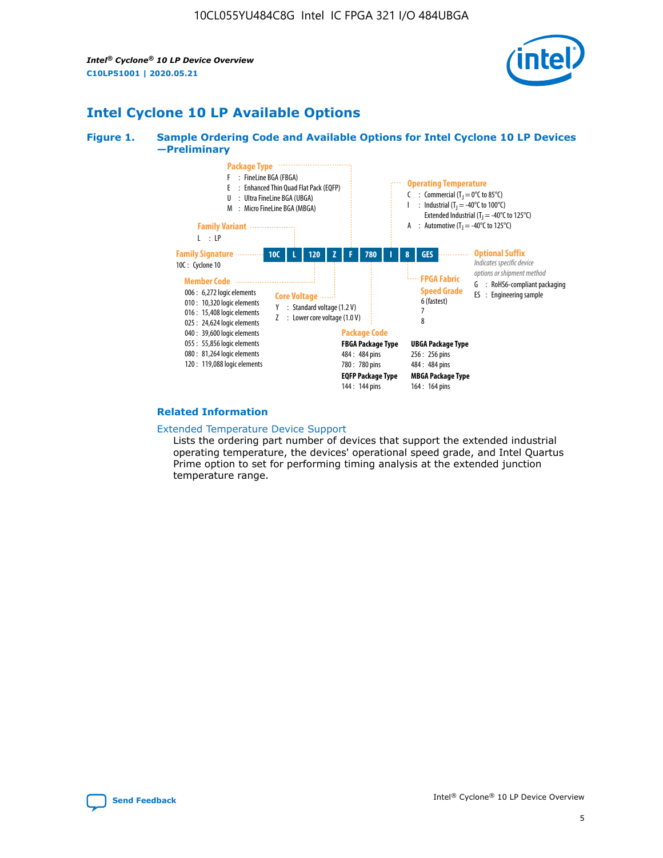*Intel® Cyclone® 10 LP Device Overview* **C10LP51001 | 2020.05.21**



## **Intel Cyclone 10 LP Available Options**

#### **Figure 1. Sample Ordering Code and Available Options for Intel Cyclone 10 LP Devices —Preliminary**



#### **Related Information**

[Extended Temperature Device Support](https://www.intel.com/content/www/us/en/products/programmable/temperature.html)

Lists the ordering part number of devices that support the extended industrial operating temperature, the devices' operational speed grade, and Intel Quartus Prime option to set for performing timing analysis at the extended junction temperature range.

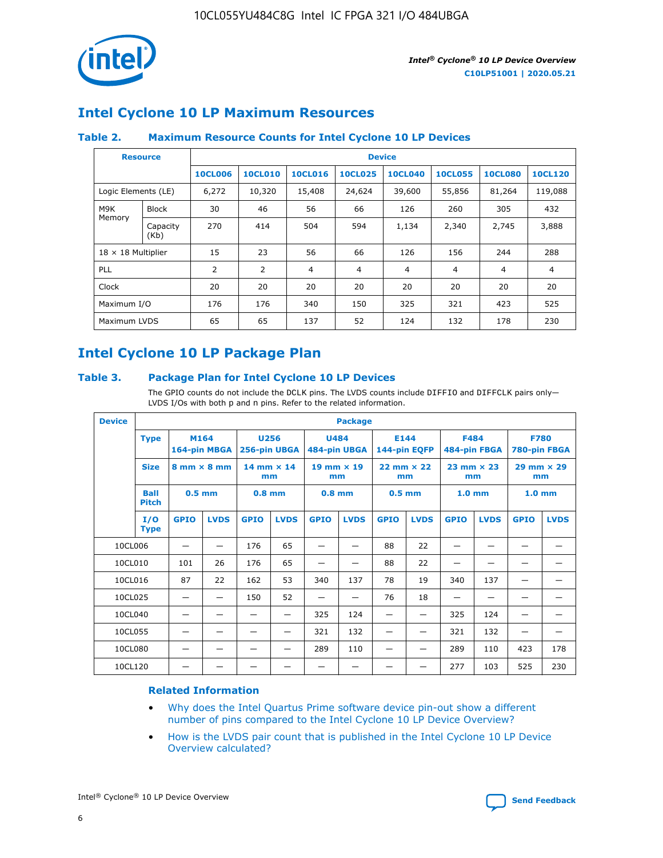

## **Intel Cyclone 10 LP Maximum Resources**

### **Table 2. Maximum Resource Counts for Intel Cyclone 10 LP Devices**

|                           | <b>Resource</b>  | <b>Device</b>  |                |                |                |                |                |                |                |
|---------------------------|------------------|----------------|----------------|----------------|----------------|----------------|----------------|----------------|----------------|
|                           |                  | <b>10CL006</b> | <b>10CL010</b> | <b>10CL016</b> | <b>10CL025</b> | <b>10CL040</b> | <b>10CL055</b> | <b>10CL080</b> | <b>10CL120</b> |
| Logic Elements (LE)       |                  | 6,272          | 10,320         | 15,408         | 24,624         | 39,600         | 55,856         | 81,264         | 119,088        |
| M9K                       | <b>Block</b>     | 30             | 46             | 56             | 66             | 126            | 260            | 305            | 432            |
| Memory                    | Capacity<br>(Kb) | 270            | 414            | 504            | 594            | 1,134          | 2,340          | 2,745          | 3,888          |
| $18 \times 18$ Multiplier |                  | 15             | 23             | 56             | 66             | 126            | 156            | 244            | 288            |
| <b>PLL</b>                |                  | 2              | $\overline{2}$ | 4              | 4              | 4              | 4              | 4              | 4              |
| Clock                     |                  | 20             | 20             | 20             | 20             | 20             | 20             | 20             | 20             |
| Maximum I/O               |                  | 176            | 176            | 340            | 150            | 325            | 321            | 423            | 525            |
| Maximum LVDS              |                  | 65             | 65             | 137            | 52             | 124            | 132            | 178            | 230            |

## **Intel Cyclone 10 LP Package Plan**

#### **Table 3. Package Plan for Intel Cyclone 10 LP Devices**

The GPIO counts do not include the DCLK pins. The LVDS counts include DIFFIO and DIFFCLK pairs only-LVDS I/Os with both p and n pins. Refer to the related information.

| <b>Device</b> |                             | <b>Package</b>                     |              |                           |             |                             |             |                      |                     |                           |              |                             |             |
|---------------|-----------------------------|------------------------------------|--------------|---------------------------|-------------|-----------------------------|-------------|----------------------|---------------------|---------------------------|--------------|-----------------------------|-------------|
| <b>Type</b>   |                             | M164                               | 164-pin MBGA | 256-pin UBGA              | <b>U256</b> | <b>U484</b><br>484-pin UBGA |             | E144<br>144-pin EQFP |                     | <b>F484</b>               | 484-pin FBGA | <b>F780</b><br>780-pin FBGA |             |
|               | <b>Size</b>                 | $8 \text{ mm} \times 8 \text{ mm}$ |              | $14$ mm $\times$ 14<br>mm |             | $19$ mm $\times$ 19<br>mm   |             | mm                   | $22$ mm $\times$ 22 | $23$ mm $\times$ 23<br>mm |              | $29$ mm $\times$ 29<br>mm   |             |
|               | <b>Ball</b><br><b>Pitch</b> | $0.5$ mm                           |              | $0.8$ mm                  |             | $0.8$ mm                    |             | $0.5$ mm             |                     | 1.0 <sub>mm</sub>         |              | 1.0 <sub>mm</sub>           |             |
|               | I/O<br><b>Type</b>          | <b>GPIO</b>                        | <b>LVDS</b>  | <b>GPIO</b>               | <b>LVDS</b> | <b>GPIO</b>                 | <b>LVDS</b> | <b>GPIO</b>          | <b>LVDS</b>         | <b>GPIO</b>               | <b>LVDS</b>  | <b>GPIO</b>                 | <b>LVDS</b> |
| 10CL006       |                             |                                    |              | 176                       | 65          |                             |             | 88                   | 22                  |                           |              |                             |             |
| 10CL010       |                             | 101                                | 26           | 176                       | 65          |                             |             | 88                   | 22                  |                           |              |                             |             |
| 10CL016       |                             | 87                                 | 22           | 162                       | 53          | 340                         | 137         | 78                   | 19                  | 340                       | 137          |                             |             |
| 10CL025       |                             | —                                  | —            | 150                       | 52          | —                           |             | 76                   | 18                  | -                         | —            |                             |             |
| 10CL040       |                             |                                    |              |                           |             | 325                         | 124         |                      |                     | 325                       | 124          |                             |             |
| 10CL055       |                             |                                    |              |                           |             | 321                         | 132         |                      |                     | 321                       | 132          |                             |             |
| 10CL080       |                             |                                    |              |                           |             | 289                         | 110         |                      |                     | 289                       | 110          | 423                         | 178         |
| 10CL120       |                             |                                    |              |                           |             |                             |             |                      |                     | 277                       | 103          | 525                         | 230         |

#### **Related Information**

- [Why does the Intel Quartus Prime software device pin-out show a different](https://www.intel.com/content/altera-www/global/en_us/index/support/support-resources/knowledge-base/component/2020/why-does-intel--quartus--device-pinout-pin-count-shows-a-differe0.html) [number of pins compared to the Intel Cyclone 10 LP Device Overview?](https://www.intel.com/content/altera-www/global/en_us/index/support/support-resources/knowledge-base/component/2020/why-does-intel--quartus--device-pinout-pin-count-shows-a-differe0.html)
- [How is the LVDS pair count that is published in the Intel Cyclone 10 LP Device](https://www.intel.com/content/altera-www/global/en_us/index/support/support-resources/knowledge-base/component/2020/how-is-the-lvds-pair-count-in-intel--cyclone--10-device-overview.html) [Overview calculated?](https://www.intel.com/content/altera-www/global/en_us/index/support/support-resources/knowledge-base/component/2020/how-is-the-lvds-pair-count-in-intel--cyclone--10-device-overview.html)



Intel<sup>®</sup> Cyclone<sup>®</sup> 10 LP Device Overview **[Send Feedback](mailto:FPGAtechdocfeedback@intel.com?subject=Feedback%20on%20Intel%20Cyclone%2010%20LP%20Device%20Overview%20(C10LP51001%202020.05.21)&body=We%20appreciate%20your%20feedback.%20In%20your%20comments,%20also%20specify%20the%20page%20number%20or%20paragraph.%20Thank%20you.)** Send Feedback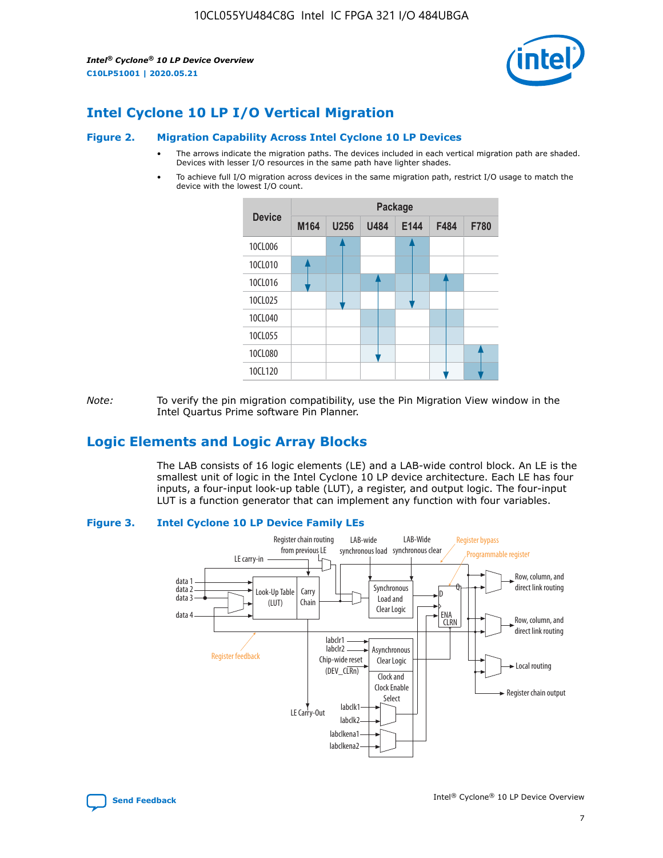*Intel® Cyclone® 10 LP Device Overview* **C10LP51001 | 2020.05.21**



## **Intel Cyclone 10 LP I/O Vertical Migration**

#### **Figure 2. Migration Capability Across Intel Cyclone 10 LP Devices**

- The arrows indicate the migration paths. The devices included in each vertical migration path are shaded. Devices with lesser I/O resources in the same path have lighter shades.
- To achieve full I/O migration across devices in the same migration path, restrict I/O usage to match the device with the lowest I/O count.



*Note:* To verify the pin migration compatibility, use the Pin Migration View window in the Intel Quartus Prime software Pin Planner.

## **Logic Elements and Logic Array Blocks**

The LAB consists of 16 logic elements (LE) and a LAB-wide control block. An LE is the smallest unit of logic in the Intel Cyclone 10 LP device architecture. Each LE has four inputs, a four-input look-up table (LUT), a register, and output logic. The four-input LUT is a function generator that can implement any function with four variables.

#### **Figure 3. Intel Cyclone 10 LP Device Family LEs**



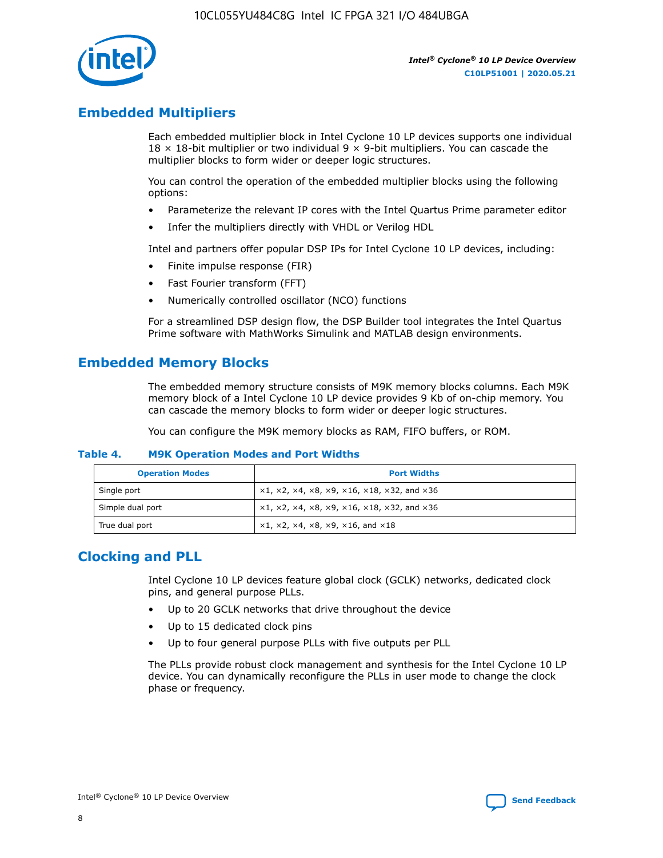

## **Embedded Multipliers**

Each embedded multiplier block in Intel Cyclone 10 LP devices supports one individual  $18 \times 18$ -bit multiplier or two individual 9  $\times$  9-bit multipliers. You can cascade the multiplier blocks to form wider or deeper logic structures.

You can control the operation of the embedded multiplier blocks using the following options:

- Parameterize the relevant IP cores with the Intel Quartus Prime parameter editor
- Infer the multipliers directly with VHDL or Verilog HDL

Intel and partners offer popular DSP IPs for Intel Cyclone 10 LP devices, including:

- Finite impulse response (FIR)
- Fast Fourier transform (FFT)
- Numerically controlled oscillator (NCO) functions

For a streamlined DSP design flow, the DSP Builder tool integrates the Intel Quartus Prime software with MathWorks Simulink and MATLAB design environments.

## **Embedded Memory Blocks**

The embedded memory structure consists of M9K memory blocks columns. Each M9K memory block of a Intel Cyclone 10 LP device provides 9 Kb of on-chip memory. You can cascade the memory blocks to form wider or deeper logic structures.

You can configure the M9K memory blocks as RAM, FIFO buffers, or ROM.

#### **Table 4. M9K Operation Modes and Port Widths**

| <b>Operation Modes</b> | <b>Port Widths</b>                           |
|------------------------|----------------------------------------------|
| Single port            | $x1, x2, x4, x8, x9, x16, x18, x32, and x36$ |
| Simple dual port       | $x1, x2, x4, x8, x9, x16, x18, x32, and x36$ |
| True dual port         | x1, x2, x4, x8, x9, x16, and x18             |

## **Clocking and PLL**

Intel Cyclone 10 LP devices feature global clock (GCLK) networks, dedicated clock pins, and general purpose PLLs.

- Up to 20 GCLK networks that drive throughout the device
- Up to 15 dedicated clock pins
- Up to four general purpose PLLs with five outputs per PLL

The PLLs provide robust clock management and synthesis for the Intel Cyclone 10 LP device. You can dynamically reconfigure the PLLs in user mode to change the clock phase or frequency.

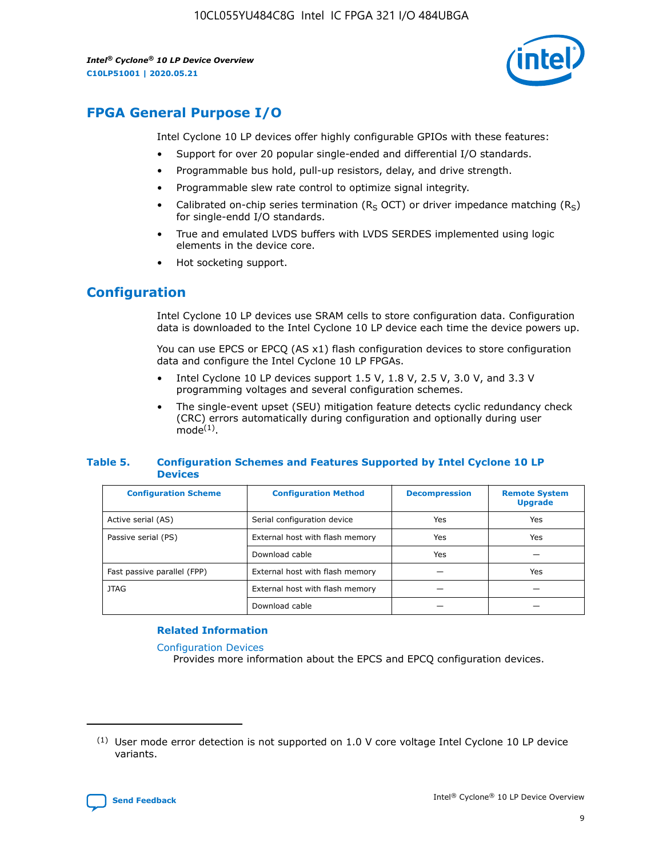*Intel® Cyclone® 10 LP Device Overview* **C10LP51001 | 2020.05.21**



## **FPGA General Purpose I/O**

Intel Cyclone 10 LP devices offer highly configurable GPIOs with these features:

- Support for over 20 popular single-ended and differential I/O standards.
- Programmable bus hold, pull-up resistors, delay, and drive strength.
- Programmable slew rate control to optimize signal integrity.
- Calibrated on-chip series termination ( $R<sub>S</sub>$  OCT) or driver impedance matching ( $R<sub>S</sub>$ ) for single-endd I/O standards.
- True and emulated LVDS buffers with LVDS SERDES implemented using logic elements in the device core.
- Hot socketing support.

## **Configuration**

Intel Cyclone 10 LP devices use SRAM cells to store configuration data. Configuration data is downloaded to the Intel Cyclone 10 LP device each time the device powers up.

You can use EPCS or EPCQ (AS x1) flash configuration devices to store configuration data and configure the Intel Cyclone 10 LP FPGAs.

- Intel Cyclone 10 LP devices support 1.5 V, 1.8 V, 2.5 V, 3.0 V, and 3.3 V programming voltages and several configuration schemes.
- The single-event upset (SEU) mitigation feature detects cyclic redundancy check (CRC) errors automatically during configuration and optionally during user  $mode<sup>(1)</sup>$ .

#### **Table 5. Configuration Schemes and Features Supported by Intel Cyclone 10 LP Devices**

| <b>Configuration Scheme</b> | <b>Configuration Method</b>     | <b>Decompression</b> | <b>Remote System</b><br><b>Upgrade</b> |  |
|-----------------------------|---------------------------------|----------------------|----------------------------------------|--|
| Active serial (AS)          | Serial configuration device     | Yes                  | Yes                                    |  |
| Passive serial (PS)         | External host with flash memory | Yes                  | Yes                                    |  |
|                             | Download cable                  | Yes                  |                                        |  |
| Fast passive parallel (FPP) | External host with flash memory |                      | Yes                                    |  |
| JTAG                        | External host with flash memory |                      |                                        |  |
|                             | Download cable                  |                      |                                        |  |

#### **Related Information**

[Configuration Devices](https://www.altera.com/products/configuration-devices/overview.html)

Provides more information about the EPCS and EPCQ configuration devices.

 $(1)$  User mode error detection is not supported on 1.0 V core voltage Intel Cyclone 10 LP device variants.

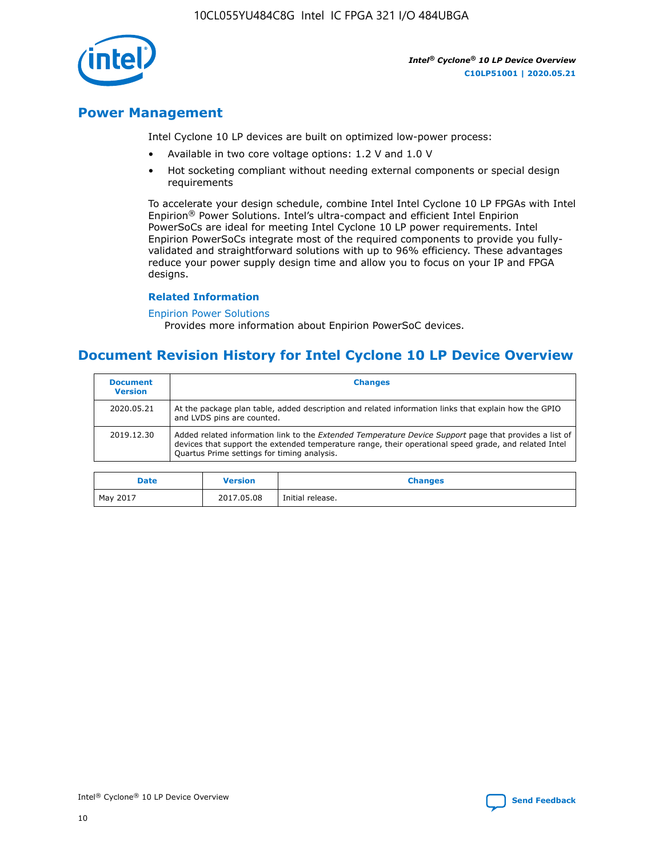10CL055YU484C8G Intel IC FPGA 321 I/O 484UBGA



*Intel® Cyclone® 10 LP Device Overview* **C10LP51001 | 2020.05.21**

## **Power Management**

Intel Cyclone 10 LP devices are built on optimized low-power process:

- Available in two core voltage options: 1.2 V and 1.0 V
- Hot socketing compliant without needing external components or special design requirements

To accelerate your design schedule, combine Intel Intel Cyclone 10 LP FPGAs with Intel Enpirion® Power Solutions. Intel's ultra-compact and efficient Intel Enpirion PowerSoCs are ideal for meeting Intel Cyclone 10 LP power requirements. Intel Enpirion PowerSoCs integrate most of the required components to provide you fullyvalidated and straightforward solutions with up to 96% efficiency. These advantages reduce your power supply design time and allow you to focus on your IP and FPGA designs.

#### **Related Information**

#### [Enpirion Power Solutions](https://www.altera.com/products/power/devices.html)

Provides more information about Enpirion PowerSoC devices.

## **Document Revision History for Intel Cyclone 10 LP Device Overview**

| <b>Document</b><br><b>Version</b> | <b>Changes</b>                                                                                                                                                                                                                                                        |
|-----------------------------------|-----------------------------------------------------------------------------------------------------------------------------------------------------------------------------------------------------------------------------------------------------------------------|
| 2020.05.21                        | At the package plan table, added description and related information links that explain how the GPIO<br>and LVDS pins are counted.                                                                                                                                    |
| 2019.12.30                        | Added related information link to the <i>Extended Temperature Device Support</i> page that provides a list of<br>devices that support the extended temperature range, their operational speed grade, and related Intel<br>Quartus Prime settings for timing analysis. |

| <b>Date</b> | <b>Version</b> | <b>Changes</b>   |
|-------------|----------------|------------------|
| May 2017    | 2017.05.08     | Initial release. |